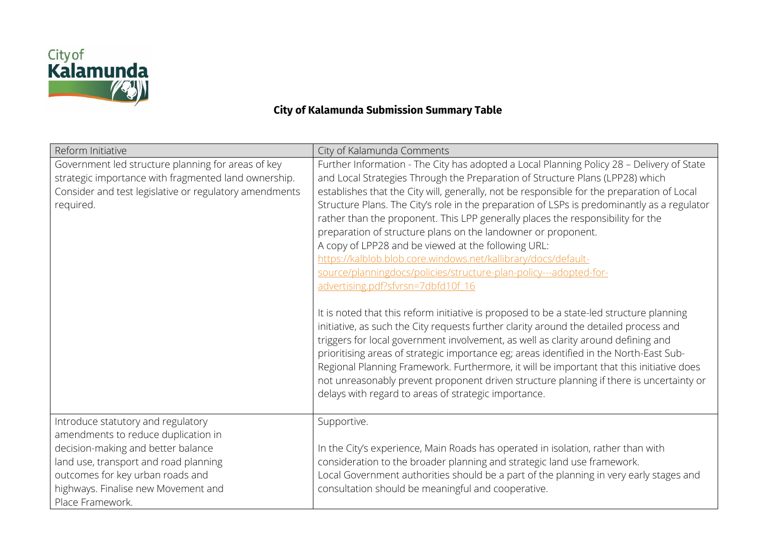

## **City of Kalamunda Submission Summary Table**

| Reform Initiative                                                                                                                                                                                                                                       | City of Kalamunda Comments                                                                                                                                                                                                                                                                                                                                                                                                                                                                                                                                                                                                                                                                                                                                                                                                                                                                                                                                                                                                                                                                                                                                                                                                                                                                                                                                                         |
|---------------------------------------------------------------------------------------------------------------------------------------------------------------------------------------------------------------------------------------------------------|------------------------------------------------------------------------------------------------------------------------------------------------------------------------------------------------------------------------------------------------------------------------------------------------------------------------------------------------------------------------------------------------------------------------------------------------------------------------------------------------------------------------------------------------------------------------------------------------------------------------------------------------------------------------------------------------------------------------------------------------------------------------------------------------------------------------------------------------------------------------------------------------------------------------------------------------------------------------------------------------------------------------------------------------------------------------------------------------------------------------------------------------------------------------------------------------------------------------------------------------------------------------------------------------------------------------------------------------------------------------------------|
| Government led structure planning for areas of key<br>strategic importance with fragmented land ownership.<br>Consider and test legislative or regulatory amendments<br>required.                                                                       | Further Information - The City has adopted a Local Planning Policy 28 - Delivery of State<br>and Local Strategies Through the Preparation of Structure Plans (LPP28) which<br>establishes that the City will, generally, not be responsible for the preparation of Local<br>Structure Plans. The City's role in the preparation of LSPs is predominantly as a regulator<br>rather than the proponent. This LPP generally places the responsibility for the<br>preparation of structure plans on the landowner or proponent.<br>A copy of LPP28 and be viewed at the following URL:<br>https://kalblob.blob.core.windows.net/kallibrary/docs/default-<br>source/planningdocs/policies/structure-plan-policy---adopted-for-<br>advertising.pdf?sfvrsn=7dbfd10f 16<br>It is noted that this reform initiative is proposed to be a state-led structure planning<br>initiative, as such the City requests further clarity around the detailed process and<br>triggers for local government involvement, as well as clarity around defining and<br>prioritising areas of strategic importance eg; areas identified in the North-East Sub-<br>Regional Planning Framework. Furthermore, it will be important that this initiative does<br>not unreasonably prevent proponent driven structure planning if there is uncertainty or<br>delays with regard to areas of strategic importance. |
| Introduce statutory and regulatory<br>amendments to reduce duplication in<br>decision-making and better balance<br>land use, transport and road planning<br>outcomes for key urban roads and<br>highways. Finalise new Movement and<br>Place Framework. | Supportive.<br>In the City's experience, Main Roads has operated in isolation, rather than with<br>consideration to the broader planning and strategic land use framework.<br>Local Government authorities should be a part of the planning in very early stages and<br>consultation should be meaningful and cooperative.                                                                                                                                                                                                                                                                                                                                                                                                                                                                                                                                                                                                                                                                                                                                                                                                                                                                                                                                                                                                                                                         |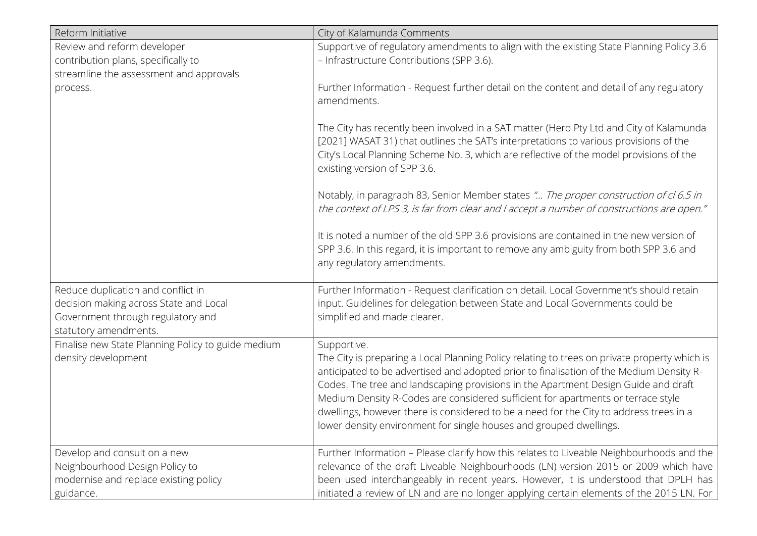| Reform Initiative                                                                                                                          | City of Kalamunda Comments                                                                                                                                                                                                                                                                                                                                                                                                                                                                                                                       |
|--------------------------------------------------------------------------------------------------------------------------------------------|--------------------------------------------------------------------------------------------------------------------------------------------------------------------------------------------------------------------------------------------------------------------------------------------------------------------------------------------------------------------------------------------------------------------------------------------------------------------------------------------------------------------------------------------------|
| Review and reform developer<br>contribution plans, specifically to<br>streamline the assessment and approvals                              | Supportive of regulatory amendments to align with the existing State Planning Policy 3.6<br>- Infrastructure Contributions (SPP 3.6).                                                                                                                                                                                                                                                                                                                                                                                                            |
| process.                                                                                                                                   | Further Information - Request further detail on the content and detail of any regulatory<br>amendments.                                                                                                                                                                                                                                                                                                                                                                                                                                          |
|                                                                                                                                            | The City has recently been involved in a SAT matter (Hero Pty Ltd and City of Kalamunda<br>[2021] WASAT 31) that outlines the SAT's interpretations to various provisions of the<br>City's Local Planning Scheme No. 3, which are reflective of the model provisions of the<br>existing version of SPP 3.6.                                                                                                                                                                                                                                      |
|                                                                                                                                            | Notably, in paragraph 83, Senior Member states " The proper construction of cl 6.5 in<br>the context of LPS 3, is far from clear and I accept a number of constructions are open."                                                                                                                                                                                                                                                                                                                                                               |
|                                                                                                                                            | It is noted a number of the old SPP 3.6 provisions are contained in the new version of<br>SPP 3.6. In this regard, it is important to remove any ambiguity from both SPP 3.6 and<br>any regulatory amendments.                                                                                                                                                                                                                                                                                                                                   |
| Reduce duplication and conflict in<br>decision making across State and Local<br>Government through regulatory and<br>statutory amendments. | Further Information - Request clarification on detail. Local Government's should retain<br>input. Guidelines for delegation between State and Local Governments could be<br>simplified and made clearer.                                                                                                                                                                                                                                                                                                                                         |
| Finalise new State Planning Policy to guide medium<br>density development                                                                  | Supportive.<br>The City is preparing a Local Planning Policy relating to trees on private property which is<br>anticipated to be advertised and adopted prior to finalisation of the Medium Density R-<br>Codes. The tree and landscaping provisions in the Apartment Design Guide and draft<br>Medium Density R-Codes are considered sufficient for apartments or terrace style<br>dwellings, however there is considered to be a need for the City to address trees in a<br>lower density environment for single houses and grouped dwellings. |
| Develop and consult on a new<br>Neighbourhood Design Policy to<br>modernise and replace existing policy<br>guidance.                       | Further Information - Please clarify how this relates to Liveable Neighbourhoods and the<br>relevance of the draft Liveable Neighbourhoods (LN) version 2015 or 2009 which have<br>been used interchangeably in recent years. However, it is understood that DPLH has<br>initiated a review of LN and are no longer applying certain elements of the 2015 LN. For                                                                                                                                                                                |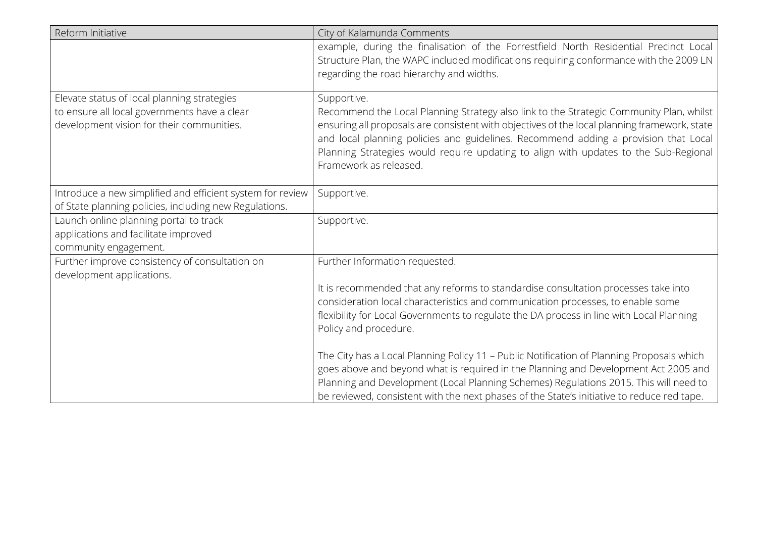| Reform Initiative                                                                                                                        | City of Kalamunda Comments                                                                                                                                                                                                                                                                                                                                                                                      |
|------------------------------------------------------------------------------------------------------------------------------------------|-----------------------------------------------------------------------------------------------------------------------------------------------------------------------------------------------------------------------------------------------------------------------------------------------------------------------------------------------------------------------------------------------------------------|
|                                                                                                                                          | example, during the finalisation of the Forrestfield North Residential Precinct Local<br>Structure Plan, the WAPC included modifications requiring conformance with the 2009 LN<br>regarding the road hierarchy and widths.                                                                                                                                                                                     |
| Elevate status of local planning strategies<br>to ensure all local governments have a clear<br>development vision for their communities. | Supportive.<br>Recommend the Local Planning Strategy also link to the Strategic Community Plan, whilst<br>ensuring all proposals are consistent with objectives of the local planning framework, state<br>and local planning policies and guidelines. Recommend adding a provision that Local<br>Planning Strategies would require updating to align with updates to the Sub-Regional<br>Framework as released. |
| Introduce a new simplified and efficient system for review<br>of State planning policies, including new Regulations.                     | Supportive.                                                                                                                                                                                                                                                                                                                                                                                                     |
| Launch online planning portal to track<br>applications and facilitate improved<br>community engagement.                                  | Supportive.                                                                                                                                                                                                                                                                                                                                                                                                     |
| Further improve consistency of consultation on<br>development applications.                                                              | Further Information requested.                                                                                                                                                                                                                                                                                                                                                                                  |
|                                                                                                                                          | It is recommended that any reforms to standardise consultation processes take into<br>consideration local characteristics and communication processes, to enable some<br>flexibility for Local Governments to regulate the DA process in line with Local Planning<br>Policy and procedure.                                                                                                                      |
|                                                                                                                                          | The City has a Local Planning Policy 11 - Public Notification of Planning Proposals which<br>goes above and beyond what is required in the Planning and Development Act 2005 and<br>Planning and Development (Local Planning Schemes) Regulations 2015. This will need to<br>be reviewed, consistent with the next phases of the State's initiative to reduce red tape.                                         |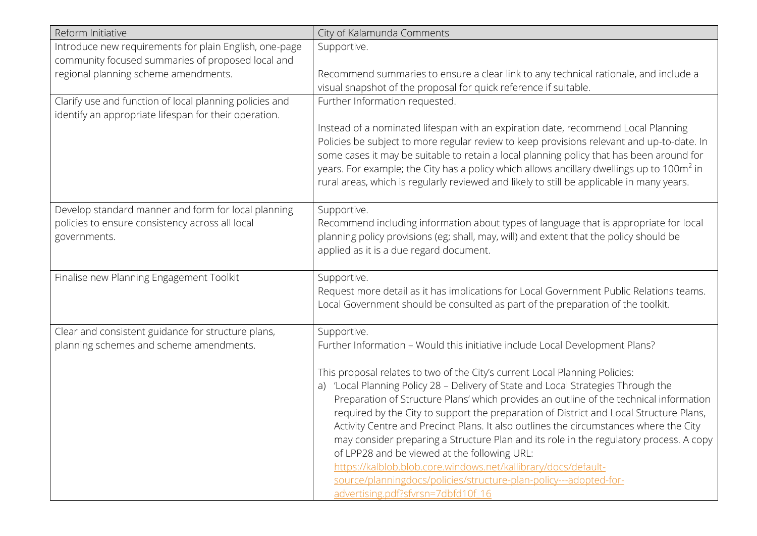| Reform Initiative                                       | City of Kalamunda Comments                                                                                                                                                                        |
|---------------------------------------------------------|---------------------------------------------------------------------------------------------------------------------------------------------------------------------------------------------------|
| Introduce new requirements for plain English, one-page  | Supportive.                                                                                                                                                                                       |
| community focused summaries of proposed local and       |                                                                                                                                                                                                   |
| regional planning scheme amendments.                    | Recommend summaries to ensure a clear link to any technical rationale, and include a                                                                                                              |
|                                                         | visual snapshot of the proposal for quick reference if suitable.                                                                                                                                  |
| Clarify use and function of local planning policies and | Further Information requested.                                                                                                                                                                    |
| identify an appropriate lifespan for their operation.   |                                                                                                                                                                                                   |
|                                                         | Instead of a nominated lifespan with an expiration date, recommend Local Planning                                                                                                                 |
|                                                         | Policies be subject to more regular review to keep provisions relevant and up-to-date. In                                                                                                         |
|                                                         | some cases it may be suitable to retain a local planning policy that has been around for<br>years. For example; the City has a policy which allows ancillary dwellings up to 100m <sup>2</sup> in |
|                                                         | rural areas, which is regularly reviewed and likely to still be applicable in many years.                                                                                                         |
|                                                         |                                                                                                                                                                                                   |
| Develop standard manner and form for local planning     | Supportive.                                                                                                                                                                                       |
| policies to ensure consistency across all local         | Recommend including information about types of language that is appropriate for local                                                                                                             |
| governments.                                            | planning policy provisions (eg; shall, may, will) and extent that the policy should be                                                                                                            |
|                                                         | applied as it is a due regard document.                                                                                                                                                           |
|                                                         |                                                                                                                                                                                                   |
| Finalise new Planning Engagement Toolkit                | Supportive.                                                                                                                                                                                       |
|                                                         | Request more detail as it has implications for Local Government Public Relations teams.                                                                                                           |
|                                                         | Local Government should be consulted as part of the preparation of the toolkit.                                                                                                                   |
|                                                         |                                                                                                                                                                                                   |
| Clear and consistent guidance for structure plans,      | Supportive.                                                                                                                                                                                       |
| planning schemes and scheme amendments.                 | Further Information - Would this initiative include Local Development Plans?                                                                                                                      |
|                                                         | This proposal relates to two of the City's current Local Planning Policies:                                                                                                                       |
|                                                         | a) 'Local Planning Policy 28 - Delivery of State and Local Strategies Through the                                                                                                                 |
|                                                         | Preparation of Structure Plans' which provides an outline of the technical information                                                                                                            |
|                                                         | required by the City to support the preparation of District and Local Structure Plans,                                                                                                            |
|                                                         | Activity Centre and Precinct Plans. It also outlines the circumstances where the City                                                                                                             |
|                                                         | may consider preparing a Structure Plan and its role in the regulatory process. A copy                                                                                                            |
|                                                         | of LPP28 and be viewed at the following URL:                                                                                                                                                      |
|                                                         | https://kalblob.blob.core.windows.net/kallibrary/docs/default-                                                                                                                                    |
|                                                         | source/planningdocs/policies/structure-plan-policy---adopted-for-                                                                                                                                 |
|                                                         | advertising.pdf?sfvrsn=7dbfd10f 16                                                                                                                                                                |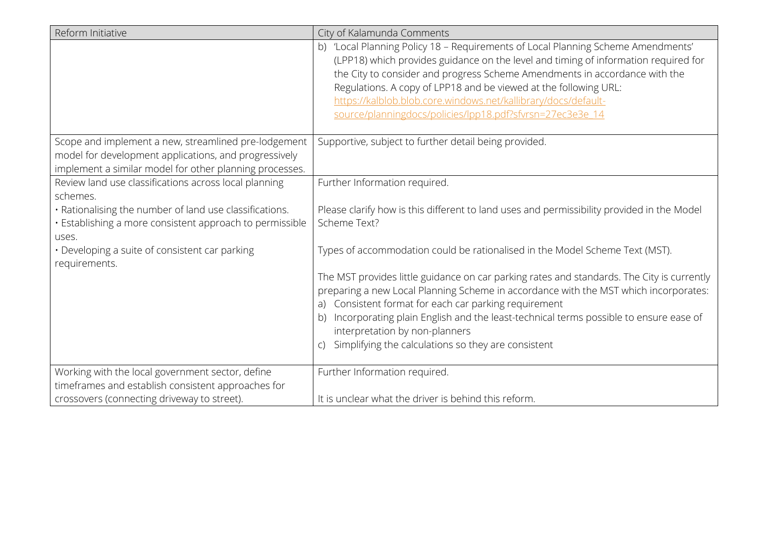| Reform Initiative                                                                                                                                                        | City of Kalamunda Comments                                                                                                                                                                                                                                                                                                                                                                                                                               |
|--------------------------------------------------------------------------------------------------------------------------------------------------------------------------|----------------------------------------------------------------------------------------------------------------------------------------------------------------------------------------------------------------------------------------------------------------------------------------------------------------------------------------------------------------------------------------------------------------------------------------------------------|
|                                                                                                                                                                          | b) 'Local Planning Policy 18 - Requirements of Local Planning Scheme Amendments'<br>(LPP18) which provides guidance on the level and timing of information required for<br>the City to consider and progress Scheme Amendments in accordance with the<br>Regulations. A copy of LPP18 and be viewed at the following URL:<br>https://kalblob.blob.core.windows.net/kallibrary/docs/default-<br>source/planningdocs/policies/lpp18.pdf?sfvrsn=27ec3e3e 14 |
| Scope and implement a new, streamlined pre-lodgement<br>model for development applications, and progressively<br>implement a similar model for other planning processes. | Supportive, subject to further detail being provided.                                                                                                                                                                                                                                                                                                                                                                                                    |
| Review land use classifications across local planning<br>schemes.                                                                                                        | Further Information required.                                                                                                                                                                                                                                                                                                                                                                                                                            |
| . Rationalising the number of land use classifications.<br>· Establishing a more consistent approach to permissible<br>uses.                                             | Please clarify how is this different to land uses and permissibility provided in the Model<br>Scheme Text?                                                                                                                                                                                                                                                                                                                                               |
| · Developing a suite of consistent car parking<br>requirements.                                                                                                          | Types of accommodation could be rationalised in the Model Scheme Text (MST).                                                                                                                                                                                                                                                                                                                                                                             |
|                                                                                                                                                                          | The MST provides little guidance on car parking rates and standards. The City is currently<br>preparing a new Local Planning Scheme in accordance with the MST which incorporates:<br>Consistent format for each car parking requirement<br>a)<br>Incorporating plain English and the least-technical terms possible to ensure ease of<br>b)<br>interpretation by non-planners<br>Simplifying the calculations so they are consistent<br>$\mathcal{C}$   |
| Working with the local government sector, define<br>timeframes and establish consistent approaches for                                                                   | Further Information required.                                                                                                                                                                                                                                                                                                                                                                                                                            |
| crossovers (connecting driveway to street).                                                                                                                              | It is unclear what the driver is behind this reform.                                                                                                                                                                                                                                                                                                                                                                                                     |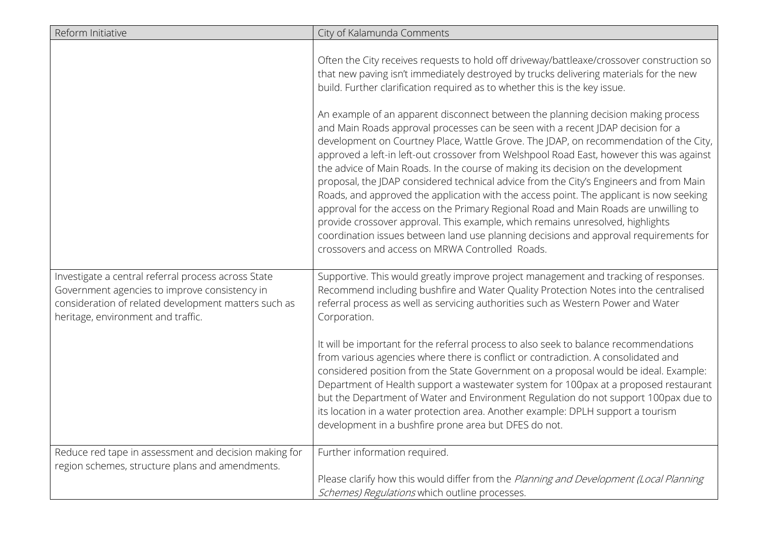| Reform Initiative                                                                                                                                                                                  | City of Kalamunda Comments                                                                                                                                                                                                                                                                                                                                                                                                                                                                                                                                                                                                                                                                                                                                                                                                                                                                                                                                |
|----------------------------------------------------------------------------------------------------------------------------------------------------------------------------------------------------|-----------------------------------------------------------------------------------------------------------------------------------------------------------------------------------------------------------------------------------------------------------------------------------------------------------------------------------------------------------------------------------------------------------------------------------------------------------------------------------------------------------------------------------------------------------------------------------------------------------------------------------------------------------------------------------------------------------------------------------------------------------------------------------------------------------------------------------------------------------------------------------------------------------------------------------------------------------|
|                                                                                                                                                                                                    | Often the City receives requests to hold off driveway/battleaxe/crossover construction so<br>that new paving isn't immediately destroyed by trucks delivering materials for the new<br>build. Further clarification required as to whether this is the key issue.                                                                                                                                                                                                                                                                                                                                                                                                                                                                                                                                                                                                                                                                                         |
|                                                                                                                                                                                                    | An example of an apparent disconnect between the planning decision making process<br>and Main Roads approval processes can be seen with a recent JDAP decision for a<br>development on Courtney Place, Wattle Grove. The JDAP, on recommendation of the City,<br>approved a left-in left-out crossover from Welshpool Road East, however this was against<br>the advice of Main Roads. In the course of making its decision on the development<br>proposal, the JDAP considered technical advice from the City's Engineers and from Main<br>Roads, and approved the application with the access point. The applicant is now seeking<br>approval for the access on the Primary Regional Road and Main Roads are unwilling to<br>provide crossover approval. This example, which remains unresolved, highlights<br>coordination issues between land use planning decisions and approval requirements for<br>crossovers and access on MRWA Controlled Roads. |
| Investigate a central referral process across State<br>Government agencies to improve consistency in<br>consideration of related development matters such as<br>heritage, environment and traffic. | Supportive. This would greatly improve project management and tracking of responses.<br>Recommend including bushfire and Water Quality Protection Notes into the centralised<br>referral process as well as servicing authorities such as Western Power and Water<br>Corporation.                                                                                                                                                                                                                                                                                                                                                                                                                                                                                                                                                                                                                                                                         |
|                                                                                                                                                                                                    | It will be important for the referral process to also seek to balance recommendations<br>from various agencies where there is conflict or contradiction. A consolidated and<br>considered position from the State Government on a proposal would be ideal. Example:<br>Department of Health support a wastewater system for 100pax at a proposed restaurant<br>but the Department of Water and Environment Regulation do not support 100pax due to<br>its location in a water protection area. Another example: DPLH support a tourism<br>development in a bushfire prone area but DFES do not.                                                                                                                                                                                                                                                                                                                                                           |
| Reduce red tape in assessment and decision making for                                                                                                                                              | Further information required.                                                                                                                                                                                                                                                                                                                                                                                                                                                                                                                                                                                                                                                                                                                                                                                                                                                                                                                             |
| region schemes, structure plans and amendments.                                                                                                                                                    | Please clarify how this would differ from the Planning and Development (Local Planning<br>Schemes) Regulations which outline processes.                                                                                                                                                                                                                                                                                                                                                                                                                                                                                                                                                                                                                                                                                                                                                                                                                   |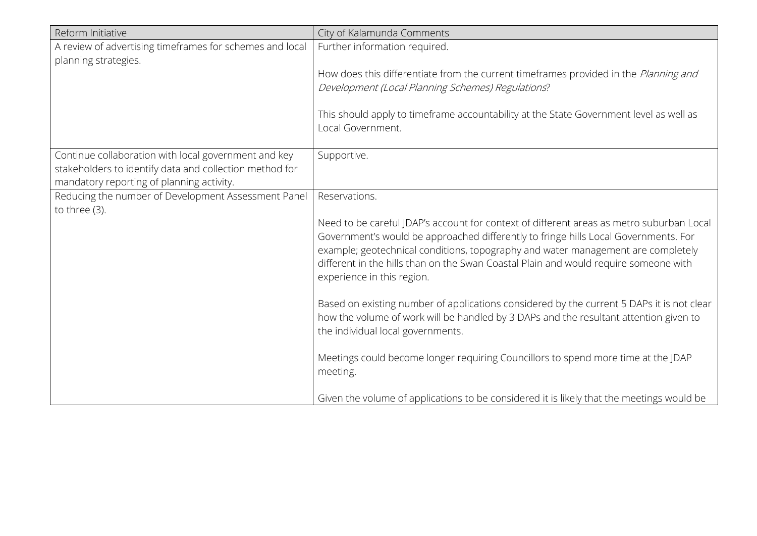| Reform Initiative                                                                                                                                            | City of Kalamunda Comments                                                                                                                                                                                                                                                                                                                                                                |
|--------------------------------------------------------------------------------------------------------------------------------------------------------------|-------------------------------------------------------------------------------------------------------------------------------------------------------------------------------------------------------------------------------------------------------------------------------------------------------------------------------------------------------------------------------------------|
| A review of advertising timeframes for schemes and local<br>planning strategies.                                                                             | Further information required.                                                                                                                                                                                                                                                                                                                                                             |
|                                                                                                                                                              | How does this differentiate from the current timeframes provided in the Planning and<br>Development (Local Planning Schemes) Regulations?                                                                                                                                                                                                                                                 |
|                                                                                                                                                              | This should apply to timeframe accountability at the State Government level as well as<br>Local Government.                                                                                                                                                                                                                                                                               |
| Continue collaboration with local government and key<br>stakeholders to identify data and collection method for<br>mandatory reporting of planning activity. | Supportive.                                                                                                                                                                                                                                                                                                                                                                               |
| Reducing the number of Development Assessment Panel                                                                                                          | Reservations.                                                                                                                                                                                                                                                                                                                                                                             |
| to three (3).                                                                                                                                                | Need to be careful JDAP's account for context of different areas as metro suburban Local<br>Government's would be approached differently to fringe hills Local Governments. For<br>example; geotechnical conditions, topography and water management are completely<br>different in the hills than on the Swan Coastal Plain and would require someone with<br>experience in this region. |
|                                                                                                                                                              | Based on existing number of applications considered by the current 5 DAPs it is not clear<br>how the volume of work will be handled by 3 DAPs and the resultant attention given to<br>the individual local governments.                                                                                                                                                                   |
|                                                                                                                                                              | Meetings could become longer requiring Councillors to spend more time at the JDAP<br>meeting.                                                                                                                                                                                                                                                                                             |
|                                                                                                                                                              | Given the volume of applications to be considered it is likely that the meetings would be                                                                                                                                                                                                                                                                                                 |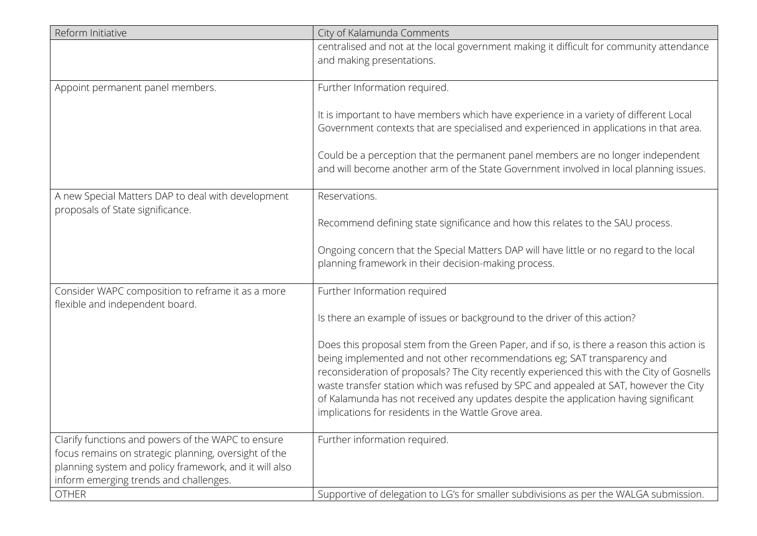| Reform Initiative                                                                                               | City of Kalamunda Comments                                                                                                                                                                                                                                                                                                                                                                                                                                                                                   |
|-----------------------------------------------------------------------------------------------------------------|--------------------------------------------------------------------------------------------------------------------------------------------------------------------------------------------------------------------------------------------------------------------------------------------------------------------------------------------------------------------------------------------------------------------------------------------------------------------------------------------------------------|
|                                                                                                                 | centralised and not at the local government making it difficult for community attendance<br>and making presentations.                                                                                                                                                                                                                                                                                                                                                                                        |
| Appoint permanent panel members.                                                                                | Further Information required.                                                                                                                                                                                                                                                                                                                                                                                                                                                                                |
|                                                                                                                 | It is important to have members which have experience in a variety of different Local<br>Government contexts that are specialised and experienced in applications in that area.                                                                                                                                                                                                                                                                                                                              |
|                                                                                                                 | Could be a perception that the permanent panel members are no longer independent<br>and will become another arm of the State Government involved in local planning issues.                                                                                                                                                                                                                                                                                                                                   |
| A new Special Matters DAP to deal with development<br>proposals of State significance.                          | Reservations.                                                                                                                                                                                                                                                                                                                                                                                                                                                                                                |
|                                                                                                                 | Recommend defining state significance and how this relates to the SAU process.                                                                                                                                                                                                                                                                                                                                                                                                                               |
|                                                                                                                 | Ongoing concern that the Special Matters DAP will have little or no regard to the local<br>planning framework in their decision-making process.                                                                                                                                                                                                                                                                                                                                                              |
| Consider WAPC composition to reframe it as a more<br>flexible and independent board.                            | Further Information required                                                                                                                                                                                                                                                                                                                                                                                                                                                                                 |
|                                                                                                                 | Is there an example of issues or background to the driver of this action?                                                                                                                                                                                                                                                                                                                                                                                                                                    |
|                                                                                                                 | Does this proposal stem from the Green Paper, and if so, is there a reason this action is<br>being implemented and not other recommendations eg; SAT transparency and<br>reconsideration of proposals? The City recently experienced this with the City of Gosnells<br>waste transfer station which was refused by SPC and appealed at SAT, however the City<br>of Kalamunda has not received any updates despite the application having significant<br>implications for residents in the Wattle Grove area. |
| Clarify functions and powers of the WAPC to ensure                                                              | Further information required.                                                                                                                                                                                                                                                                                                                                                                                                                                                                                |
| focus remains on strategic planning, oversight of the<br>planning system and policy framework, and it will also |                                                                                                                                                                                                                                                                                                                                                                                                                                                                                                              |
| inform emerging trends and challenges.                                                                          |                                                                                                                                                                                                                                                                                                                                                                                                                                                                                                              |
| <b>OTHER</b>                                                                                                    | Supportive of delegation to LG's for smaller subdivisions as per the WALGA submission.                                                                                                                                                                                                                                                                                                                                                                                                                       |